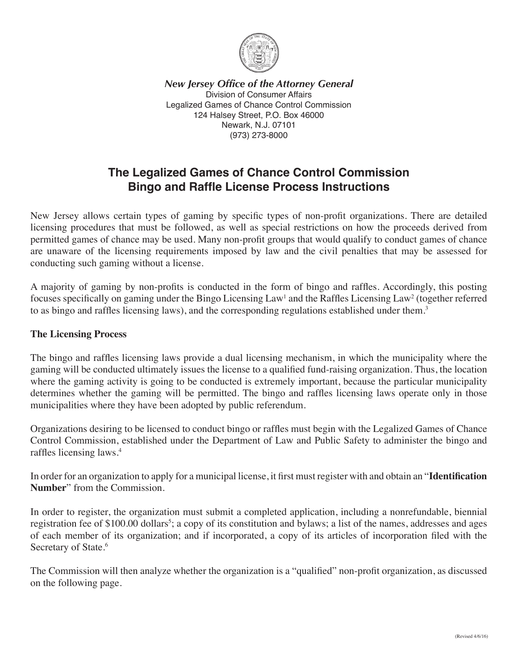

*New Jersey Office of the Attorney General* Division of Consumer Affairs Legalized Games of Chance Control Commission 124 Halsey Street, P.O. Box 46000 Newark, N.J. 07101 (973) 273-8000

# **The Legalized Games of Chance Control Commission Bingo and Raffle License Process Instructions**

New Jersey allows certain types of gaming by specific types of non-profit organizations. There are detailed licensing procedures that must be followed, as well as special restrictions on how the proceeds derived from permitted games of chance may be used. Many non-profit groups that would qualify to conduct games of chance are unaware of the licensing requirements imposed by law and the civil penalties that may be assessed for conducting such gaming without a license.

A majority of gaming by non-profits is conducted in the form of bingo and raffles. Accordingly, this posting focuses specifically on gaming under the Bingo Licensing Law<sup>1</sup> and the Raffles Licensing Law<sup>2</sup> (together referred to as bingo and raffles licensing laws), and the corresponding regulations established under them.<sup>3</sup>

#### **The Licensing Process**

The bingo and raffles licensing laws provide a dual licensing mechanism, in which the municipality where the gaming will be conducted ultimately issues the license to a qualified fund-raising organization. Thus, the location where the gaming activity is going to be conducted is extremely important, because the particular municipality determines whether the gaming will be permitted. The bingo and raffles licensing laws operate only in those municipalities where they have been adopted by public referendum.

Organizations desiring to be licensed to conduct bingo or raffles must begin with the Legalized Games of Chance Control Commission, established under the Department of Law and Public Safety to administer the bingo and raffles licensing laws.<sup>4</sup>

In order for an organization to apply for a municipal license, it first must register with and obtain an "**Identification Number**" from the Commission.

In order to register, the organization must submit a completed application, including a nonrefundable, biennial registration fee of \$100.00 dollars<sup>5</sup>; a copy of its constitution and bylaws; a list of the names, addresses and ages of each member of its organization; and if incorporated, a copy of its articles of incorporation filed with the Secretary of State.<sup>6</sup>

The Commission will then analyze whether the organization is a "qualified" non-profit organization, as discussed on the following page.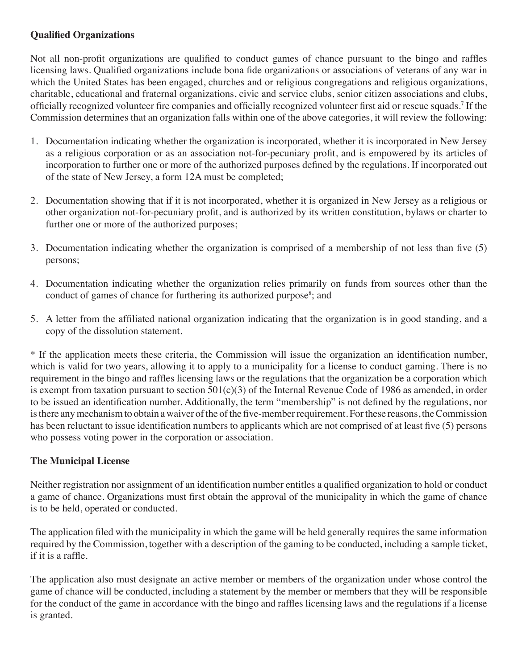# **Qualified Organizations**

Not all non-profit organizations are qualified to conduct games of chance pursuant to the bingo and raffles licensing laws. Qualified organizations include bona fide organizations or associations of veterans of any war in which the United States has been engaged, churches and or religious congregations and religious organizations, charitable, educational and fraternal organizations, civic and service clubs, senior citizen associations and clubs, officially recognized volunteer fire companies and officially recognized volunteer first aid or rescue squads.7 If the Commission determines that an organization falls within one of the above categories, it will review the following:

- 1. Documentation indicating whether the organization is incorporated, whether it is incorporated in New Jersey as a religious corporation or as an association not-for-pecuniary profit, and is empowered by its articles of incorporation to further one or more of the authorized purposes defined by the regulations. If incorporated out of the state of New Jersey, a form 12A must be completed;
- 2. Documentation showing that if it is not incorporated, whether it is organized in New Jersey as a religious or other organization not-for-pecuniary profit, and is authorized by its written constitution, bylaws or charter to further one or more of the authorized purposes;
- 3. Documentation indicating whether the organization is comprised of a membership of not less than five (5) persons;
- 4. Documentation indicating whether the organization relies primarily on funds from sources other than the conduct of games of chance for furthering its authorized purpose<sup>8</sup>; and
- 5. A letter from the affiliated national organization indicating that the organization is in good standing, and a copy of the dissolution statement.

\* If the application meets these criteria, the Commission will issue the organization an identification number, which is valid for two years, allowing it to apply to a municipality for a license to conduct gaming. There is no requirement in the bingo and raffles licensing laws or the regulations that the organization be a corporation which is exempt from taxation pursuant to section  $501(c)(3)$  of the Internal Revenue Code of 1986 as amended, in order to be issued an identification number. Additionally, the term "membership" is not defined by the regulations, nor is there any mechanism to obtain a waiver of the of the five-member requirement. For these reasons, the Commission has been reluctant to issue identification numbers to applicants which are not comprised of at least five (5) persons who possess voting power in the corporation or association.

# **The Municipal License**

Neither registration nor assignment of an identification number entitles a qualified organization to hold or conduct a game of chance. Organizations must first obtain the approval of the municipality in which the game of chance is to be held, operated or conducted.

The application filed with the municipality in which the game will be held generally requires the same information required by the Commission, together with a description of the gaming to be conducted, including a sample ticket, if it is a raffle.

The application also must designate an active member or members of the organization under whose control the game of chance will be conducted, including a statement by the member or members that they will be responsible for the conduct of the game in accordance with the bingo and raffles licensing laws and the regulations if a license is granted.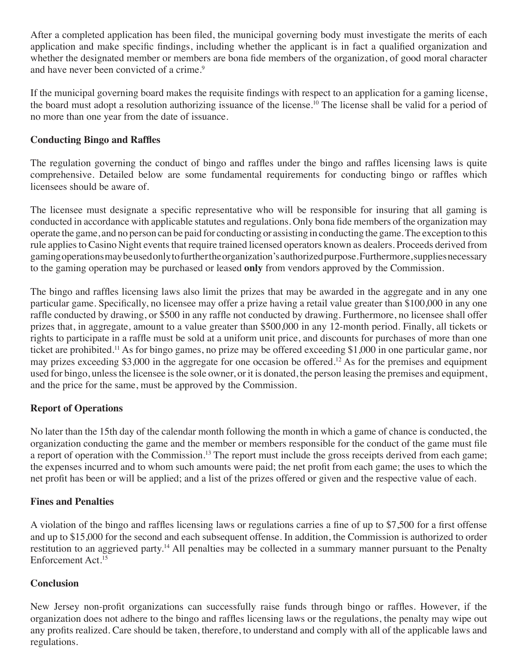After a completed application has been filed, the municipal governing body must investigate the merits of each application and make specific findings, including whether the applicant is in fact a qualified organization and whether the designated member or members are bona fide members of the organization, of good moral character and have never been convicted of a crime.<sup>9</sup>

If the municipal governing board makes the requisite findings with respect to an application for a gaming license, the board must adopt a resolution authorizing issuance of the license.10 The license shall be valid for a period of no more than one year from the date of issuance.

# **Conducting Bingo and Raffles**

The regulation governing the conduct of bingo and raffles under the bingo and raffles licensing laws is quite comprehensive. Detailed below are some fundamental requirements for conducting bingo or raffles which licensees should be aware of.

The licensee must designate a specific representative who will be responsible for insuring that all gaming is conducted in accordance with applicable statutes and regulations. Only bona fide members of the organization may operate the game, and no person can be paid for conducting or assisting in conducting the game. The exception to this rule applies to Casino Night events that require trained licensed operators known as dealers. Proceeds derived from gaming operations may be used only to further the organization's authorized purpose. Furthermore, supplies necessary to the gaming operation may be purchased or leased **only** from vendors approved by the Commission.

The bingo and raffles licensing laws also limit the prizes that may be awarded in the aggregate and in any one particular game. Specifically, no licensee may offer a prize having a retail value greater than \$100,000 in any one raffle conducted by drawing, or \$500 in any raffle not conducted by drawing. Furthermore, no licensee shall offer prizes that, in aggregate, amount to a value greater than \$500,000 in any 12-month period. Finally, all tickets or rights to participate in a raffle must be sold at a uniform unit price, and discounts for purchases of more than one ticket are prohibited.11 As for bingo games, no prize may be offered exceeding \$1,000 in one particular game, nor may prizes exceeding \$3,000 in the aggregate for one occasion be offered.12 As for the premises and equipment used for bingo, unless the licensee is the sole owner, or it is donated, the person leasing the premises and equipment, and the price for the same, must be approved by the Commission.

# **Report of Operations**

No later than the 15th day of the calendar month following the month in which a game of chance is conducted, the organization conducting the game and the member or members responsible for the conduct of the game must file a report of operation with the Commission.<sup>13</sup> The report must include the gross receipts derived from each game; the expenses incurred and to whom such amounts were paid; the net profit from each game; the uses to which the net profit has been or will be applied; and a list of the prizes offered or given and the respective value of each.

# **Fines and Penalties**

A violation of the bingo and raffles licensing laws or regulations carries a fine of up to \$7,500 for a first offense and up to \$15,000 for the second and each subsequent offense. In addition, the Commission is authorized to order restitution to an aggrieved party.14 All penalties may be collected in a summary manner pursuant to the Penalty Enforcement Act.15

# **Conclusion**

New Jersey non-profit organizations can successfully raise funds through bingo or raffles. However, if the organization does not adhere to the bingo and raffles licensing laws or the regulations, the penalty may wipe out any profits realized. Care should be taken, therefore, to understand and comply with all of the applicable laws and regulations.